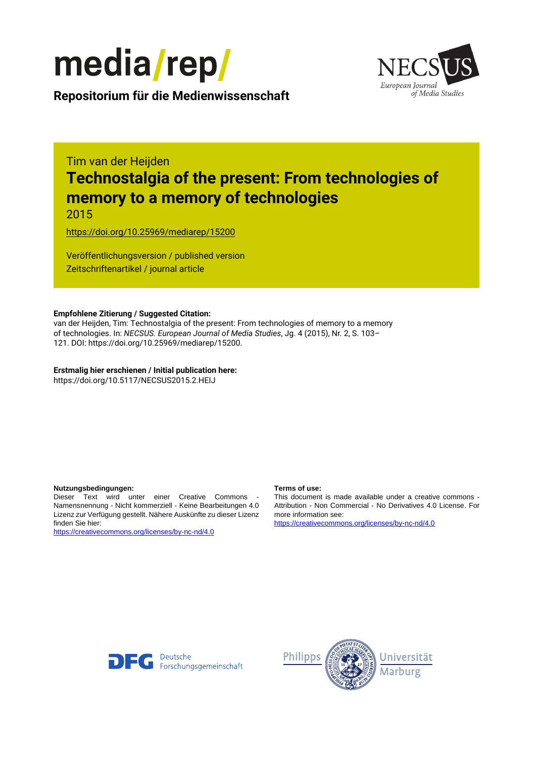



**Repositorium für die [Medienwissenschaft](https://mediarep.org)**

# Tim van der Heijden **Technostalgia of the present: From technologies of memory to a memory of technologies**

2015

<https://doi.org/10.25969/mediarep/15200>

Veröffentlichungsversion / published version Zeitschriftenartikel / journal article

### **Empfohlene Zitierung / Suggested Citation:**

van der Heijden, Tim: Technostalgia of the present: From technologies of memory to a memory of technologies. In: *NECSUS. European Journal of Media Studies*, Jg. 4 (2015), Nr. 2, S. 103– 121. DOI: https://doi.org/10.25969/mediarep/15200.

**Erstmalig hier erschienen / Initial publication here:** https://doi.org/10.5117/NECSUS2015.2.HEIJ

#### **Nutzungsbedingungen: Terms of use:**

Dieser Text wird unter einer Creative Commons - Namensnennung - Nicht kommerziell - Keine Bearbeitungen 4.0 Lizenz zur Verfügung gestellt. Nähere Auskünfte zu dieser Lizenz finden Sie hier:

<https://creativecommons.org/licenses/by-nc-nd/4.0>

This document is made available under a creative commons - Attribution - Non Commercial - No Derivatives 4.0 License. For more information see:

<https://creativecommons.org/licenses/by-nc-nd/4.0>



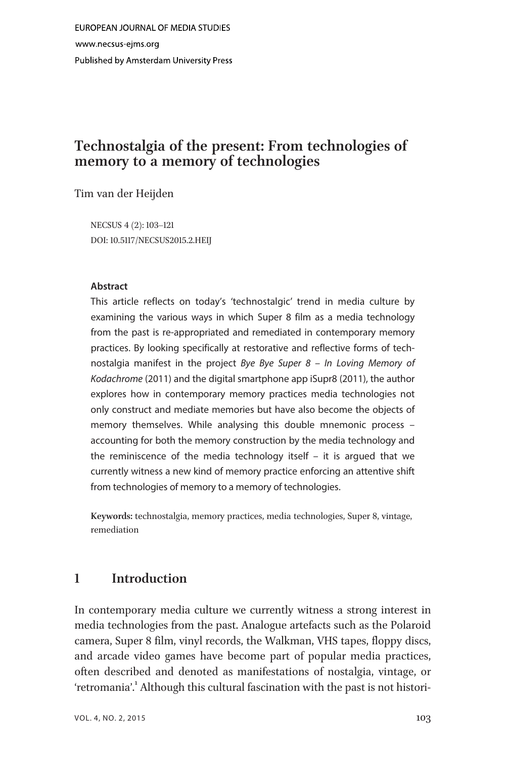# Technostalgia of the present: From technologies of memory to a memory of technologies

Tim van der Heijden

NECSUS 4 (2): 103–121 DOI: 10.5117/NECSUS2015.2.HEIJ

#### Abstract

This article reflects on today's 'technostalgic' trend in media culture by examining the various ways in which Super 8 film as a media technology from the past is re-appropriated and remediated in contemporary memory practices. By looking specifically at restorative and reflective forms of technostalgia manifest in the project Bye Bye Super 8 – In Loving Memory of Kodachrome (2011) and the digital smartphone app iSupr8 (2011), the author explores how in contemporary memory practices media technologies not only construct and mediate memories but have also become the objects of memory themselves. While analysing this double mnemonic process – accounting for both the memory construction by the media technology and the reminiscence of the media technology itself – it is argued that we currently witness a new kind of memory practice enforcing an attentive shift from technologies of memory to a memory of technologies.

Keywords: technostalgia, memory practices, media technologies, Super 8, vintage, remediation

# 1 Introduction

In contemporary media culture we currently witness a strong interest in media technologies from the past. Analogue artefacts such as the Polaroid camera, Super 8 film, vinyl records, the Walkman, VHS tapes, floppy discs, and arcade video games have become part of popular media practices, often described and denoted as manifestations of nostalgia, vintage, or 'retromania'.<sup>1</sup> Although this cultural fascination with the past is not histori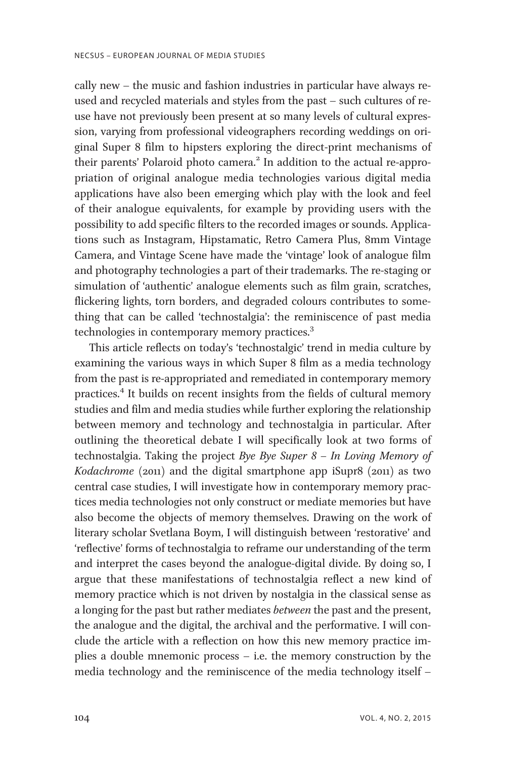cally new – the music and fashion industries in particular have always reused and recycled materials and styles from the past – such cultures of reuse have not previously been present at so many levels of cultural expression, varying from professional videographers recording weddings on original Super 8 film to hipsters exploring the direct-print mechanisms of their parents' Polaroid photo camera.<sup>2</sup> In addition to the actual re-appropriation of original analogue media technologies various digital media applications have also been emerging which play with the look and feel of their analogue equivalents, for example by providing users with the possibility to add specific filters to the recorded images or sounds. Applications such as Instagram, Hipstamatic, Retro Camera Plus, 8mm Vintage Camera, and Vintage Scene have made the 'vintage' look of analogue film and photography technologies a part of their trademarks. The re-staging or simulation of 'authentic' analogue elements such as film grain, scratches, flickering lights, torn borders, and degraded colours contributes to something that can be called 'technostalgia': the reminiscence of past media technologies in contemporary memory practices.<sup>3</sup>

This article reflects on today's 'technostalgic' trend in media culture by examining the various ways in which Super 8 film as a media technology from the past is re-appropriated and remediated in contemporary memory practices.<sup>4</sup> It builds on recent insights from the fields of cultural memory studies and film and media studies while further exploring the relationship between memory and technology and technostalgia in particular. After outlining the theoretical debate I will specifically look at two forms of technostalgia. Taking the project Bye Bye Super  $8 - In$  Loving Memory of Kodachrome (2011) and the digital smartphone app iSupr8 (2011) as two central case studies, I will investigate how in contemporary memory practices media technologies not only construct or mediate memories but have also become the objects of memory themselves. Drawing on the work of literary scholar Svetlana Boym, I will distinguish between 'restorative' and 'reflective' forms of technostalgia to reframe our understanding of the term and interpret the cases beyond the analogue-digital divide. By doing so, I argue that these manifestations of technostalgia reflect a new kind of memory practice which is not driven by nostalgia in the classical sense as a longing for the past but rather mediates between the past and the present, the analogue and the digital, the archival and the performative. I will conclude the article with a reflection on how this new memory practice implies a double mnemonic process – i.e. the memory construction by the media technology and the reminiscence of the media technology itself –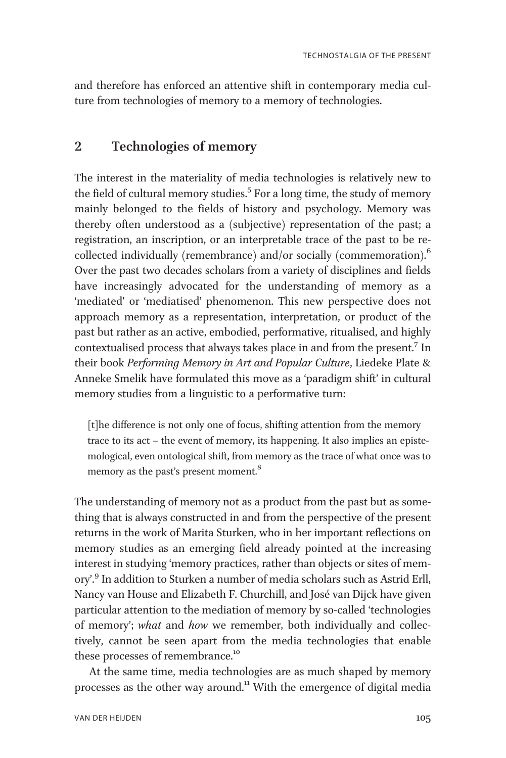and therefore has enforced an attentive shift in contemporary media culture from technologies of memory to a memory of technologies.

# 2 Technologies of memory

The interest in the materiality of media technologies is relatively new to the field of cultural memory studies.<sup>5</sup> For a long time, the study of memory mainly belonged to the fields of history and psychology. Memory was thereby often understood as a (subjective) representation of the past; a registration, an inscription, or an interpretable trace of the past to be recollected individually (remembrance) and/or socially (commemoration). $<sup>6</sup>$ </sup> Over the past two decades scholars from a variety of disciplines and fields have increasingly advocated for the understanding of memory as a 'mediated' or 'mediatised' phenomenon. This new perspective does not approach memory as a representation, interpretation, or product of the past but rather as an active, embodied, performative, ritualised, and highly contextualised process that always takes place in and from the present.<sup>7</sup> In their book Performing Memory in Art and Popular Culture, Liedeke Plate & Anneke Smelik have formulated this move as a 'paradigm shift' in cultural memory studies from a linguistic to a performative turn:

[t]he difference is not only one of focus, shifting attention from the memory trace to its act – the event of memory, its happening. It also implies an epistemological, even ontological shift, from memory as the trace of what once was to memory as the past's present moment.<sup>8</sup>

The understanding of memory not as a product from the past but as something that is always constructed in and from the perspective of the present returns in the work of Marita Sturken, who in her important reflections on memory studies as an emerging field already pointed at the increasing interest in studying 'memory practices, rather than objects or sites of memory'. <sup>9</sup> In addition to Sturken a number of media scholars such as Astrid Erll, Nancy van House and Elizabeth F. Churchill, and José van Dijck have given particular attention to the mediation of memory by so-called 'technologies of memory'; what and how we remember, both individually and collectively, cannot be seen apart from the media technologies that enable these processes of remembrance.<sup>10</sup>

At the same time, media technologies are as much shaped by memory processes as the other way around.<sup>11</sup> With the emergence of digital media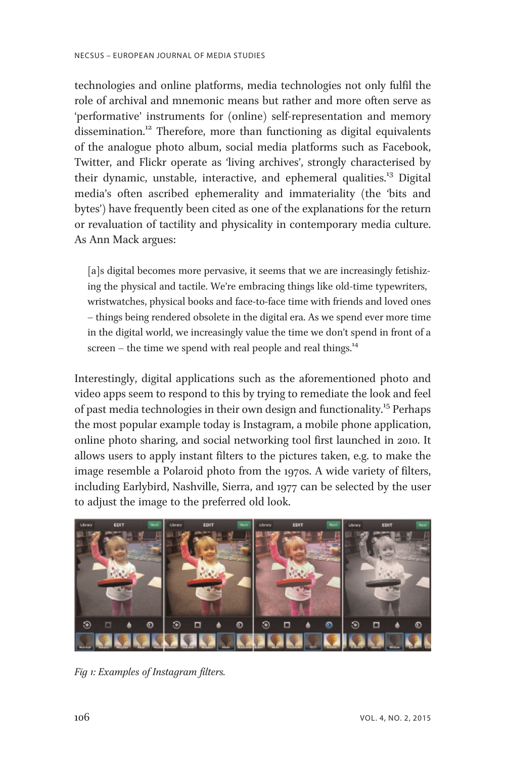technologies and online platforms, media technologies not only fulfil the role of archival and mnemonic means but rather and more often serve as 'performative' instruments for (online) self-representation and memory dissemination.<sup>12</sup> Therefore, more than functioning as digital equivalents of the analogue photo album, social media platforms such as Facebook, Twitter, and Flickr operate as 'living archives', strongly characterised by their dynamic, unstable, interactive, and ephemeral qualities.<sup>13</sup> Digital media's often ascribed ephemerality and immateriality (the 'bits and bytes') have frequently been cited as one of the explanations for the return or revaluation of tactility and physicality in contemporary media culture. As Ann Mack argues:

[a]s digital becomes more pervasive, it seems that we are increasingly fetishizing the physical and tactile. We're embracing things like old-time typewriters, wristwatches, physical books and face-to-face time with friends and loved ones – things being rendered obsolete in the digital era. As we spend ever more time in the digital world, we increasingly value the time we don't spend in front of a screen – the time we spend with real people and real things. $^{14}$ 

Interestingly, digital applications such as the aforementioned photo and video apps seem to respond to this by trying to remediate the look and feel of past media technologies in their own design and functionality.<sup>15</sup> Perhaps the most popular example today is Instagram, a mobile phone application, online photo sharing, and social networking tool first launched in 2010. It allows users to apply instant filters to the pictures taken, e.g. to make the image resemble a Polaroid photo from the 1970s. A wide variety of filters, including Earlybird, Nashville, Sierra, and 1977 can be selected by the user to adjust the image to the preferred old look.



Fig 1: Examples of Instagram filters.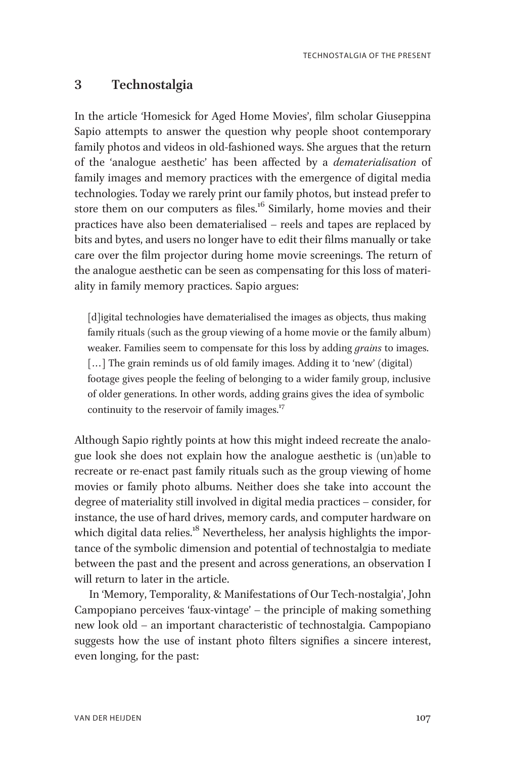# 3 Technostalgia

In the article 'Homesick for Aged Home Movies', film scholar Giuseppina Sapio attempts to answer the question why people shoot contemporary family photos and videos in old-fashioned ways. She argues that the return of the 'analogue aesthetic' has been affected by a dematerialisation of family images and memory practices with the emergence of digital media technologies. Today we rarely print our family photos, but instead prefer to store them on our computers as files.<sup>16</sup> Similarly, home movies and their practices have also been dematerialised – reels and tapes are replaced by bits and bytes, and users no longer have to edit their films manually or take care over the film projector during home movie screenings. The return of the analogue aesthetic can be seen as compensating for this loss of materiality in family memory practices. Sapio argues:

[d]igital technologies have dematerialised the images as objects, thus making family rituals (such as the group viewing of a home movie or the family album) weaker. Families seem to compensate for this loss by adding *grains* to images. [...] The grain reminds us of old family images. Adding it to 'new' (digital) footage gives people the feeling of belonging to a wider family group, inclusive of older generations. In other words, adding grains gives the idea of symbolic continuity to the reservoir of family images. $17$ 

Although Sapio rightly points at how this might indeed recreate the analogue look she does not explain how the analogue aesthetic is (un)able to recreate or re-enact past family rituals such as the group viewing of home movies or family photo albums. Neither does she take into account the degree of materiality still involved in digital media practices – consider, for instance, the use of hard drives, memory cards, and computer hardware on which digital data relies.<sup>18</sup> Nevertheless, her analysis highlights the importance of the symbolic dimension and potential of technostalgia to mediate between the past and the present and across generations, an observation I will return to later in the article.

In 'Memory, Temporality, & Manifestations of Our Tech-nostalgia', John Campopiano perceives 'faux-vintage' – the principle of making something new look old – an important characteristic of technostalgia. Campopiano suggests how the use of instant photo filters signifies a sincere interest, even longing, for the past: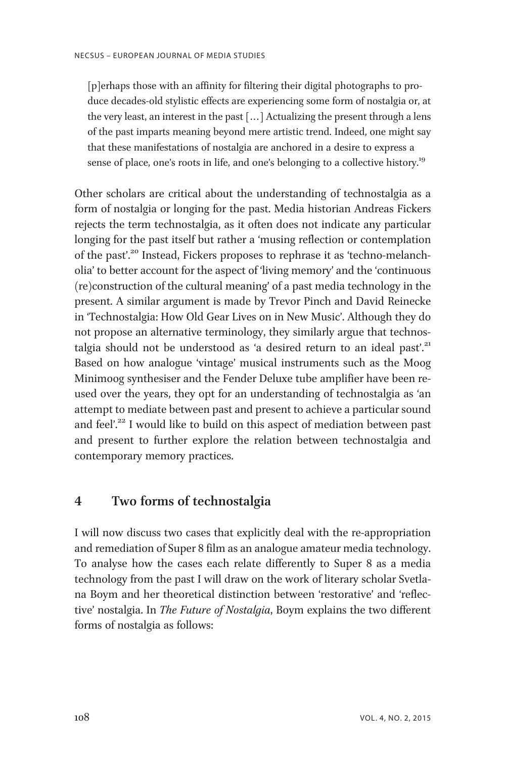[p]erhaps those with an affinity for filtering their digital photographs to produce decades-old stylistic effects are experiencing some form of nostalgia or, at the very least, an interest in the past [... ] Actualizing the present through a lens of the past imparts meaning beyond mere artistic trend. Indeed, one might say that these manifestations of nostalgia are anchored in a desire to express a sense of place, one's roots in life, and one's belonging to a collective history.<sup>19</sup>

Other scholars are critical about the understanding of technostalgia as a form of nostalgia or longing for the past. Media historian Andreas Fickers rejects the term technostalgia, as it often does not indicate any particular longing for the past itself but rather a 'musing reflection or contemplation of the past'. <sup>20</sup> Instead, Fickers proposes to rephrase it as 'techno-melancholia' to better account for the aspect of 'living memory' and the 'continuous (re)construction of the cultural meaning' of a past media technology in the present. A similar argument is made by Trevor Pinch and David Reinecke in 'Technostalgia: How Old Gear Lives on in New Music'. Although they do not propose an alternative terminology, they similarly argue that technostalgia should not be understood as 'a desired return to an ideal past'.<sup>21</sup> Based on how analogue 'vintage' musical instruments such as the Moog Minimoog synthesiser and the Fender Deluxe tube amplifier have been reused over the years, they opt for an understanding of technostalgia as 'an attempt to mediate between past and present to achieve a particular sound and feel'.<sup>22</sup> I would like to build on this aspect of mediation between past and present to further explore the relation between technostalgia and contemporary memory practices.

# 4 Two forms of technostalgia

I will now discuss two cases that explicitly deal with the re-appropriation and remediation of Super 8 film as an analogue amateur media technology. To analyse how the cases each relate differently to Super 8 as a media technology from the past I will draw on the work of literary scholar Svetlana Boym and her theoretical distinction between 'restorative' and 'reflective' nostalgia. In The Future of Nostalgia, Boym explains the two different forms of nostalgia as follows: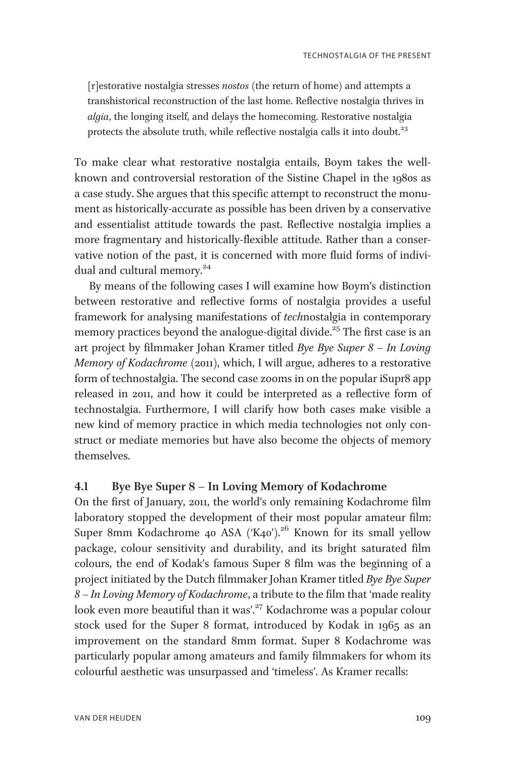[r]estorative nostalgia stresses nostos (the return of home) and attempts a transhistorical reconstruction of the last home. Reflective nostalgia thrives in algia, the longing itself, and delays the homecoming. Restorative nostalgia protects the absolute truth, while reflective nostalgia calls it into doubt. $23$ 

To make clear what restorative nostalgia entails, Boym takes the wellknown and controversial restoration of the Sistine Chapel in the 1980s as a case study. She argues that this specific attempt to reconstruct the monument as historically-accurate as possible has been driven by a conservative and essentialist attitude towards the past. Reflective nostalgia implies a more fragmentary and historically-flexible attitude. Rather than a conservative notion of the past, it is concerned with more fluid forms of individual and cultural memory.<sup>24</sup>

By means of the following cases I will examine how Boym's distinction between restorative and reflective forms of nostalgia provides a useful framework for analysing manifestations of technostalgia in contemporary memory practices beyond the analogue-digital divide.<sup>25</sup> The first case is an art project by filmmaker Johan Kramer titled Bye Bye Super 8 – In Loving Memory of Kodachrome (2011), which, I will argue, adheres to a restorative form of technostalgia. The second case zooms in on the popular iSupr8 app released in 2011, and how it could be interpreted as a reflective form of technostalgia. Furthermore, I will clarify how both cases make visible a new kind of memory practice in which media technologies not only construct or mediate memories but have also become the objects of memory themselves.

### 4.1 Bye Bye Super 8 – In Loving Memory of Kodachrome

On the first of January, 2011, the world's only remaining Kodachrome film laboratory stopped the development of their most popular amateur film: Super 8mm Kodachrome 40 ASA ('K40').<sup>26</sup> Known for its small yellow package, colour sensitivity and durability, and its bright saturated film colours, the end of Kodak's famous Super 8 film was the beginning of a project initiated by the Dutch filmmaker Johan Kramer titled Bye Bye Super 8 – In Loving Memory of Kodachrome, a tribute to the film that 'made reality look even more beautiful than it was'. <sup>27</sup> Kodachrome was a popular colour stock used for the Super 8 format, introduced by Kodak in 1965 as an improvement on the standard 8mm format. Super 8 Kodachrome was particularly popular among amateurs and family filmmakers for whom its colourful aesthetic was unsurpassed and 'timeless'. As Kramer recalls: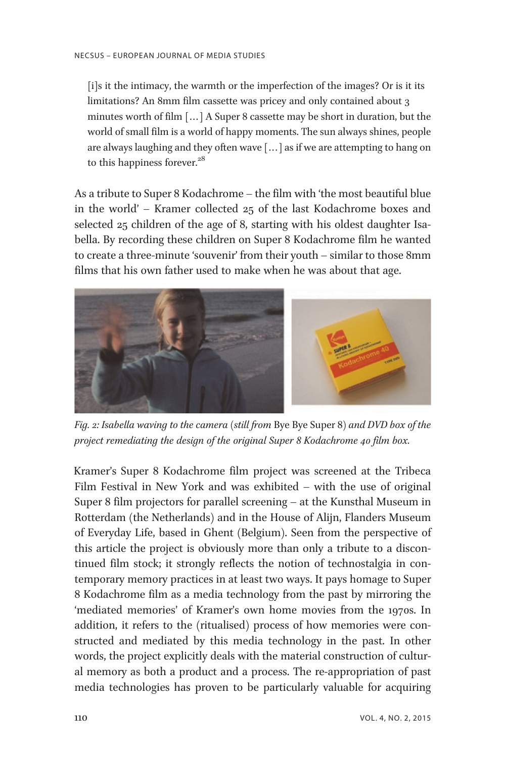[i]s it the intimacy, the warmth or the imperfection of the images? Or is it its limitations? An 8mm film cassette was pricey and only contained about 3 minutes worth of film [... ] A Super 8 cassette may be short in duration, but the world of small film is a world of happy moments. The sun always shines, people are always laughing and they often wave [... ] as if we are attempting to hang on to this happiness forever.<sup>28</sup>

As a tribute to Super 8 Kodachrome – the film with 'the most beautiful blue in the world' – Kramer collected 25 of the last Kodachrome boxes and selected 25 children of the age of 8, starting with his oldest daughter Isabella. By recording these children on Super 8 Kodachrome film he wanted to create a three-minute 'souvenir' from their youth – similar to those 8mm films that his own father used to make when he was about that age.



Fig. 2: Isabella waving to the camera (still from Bye Bye Super 8) and DVD box of the project remediating the design of the original Super 8 Kodachrome 40 film box.

Kramer's Super 8 Kodachrome film project was screened at the Tribeca Film Festival in New York and was exhibited – with the use of original Super 8 film projectors for parallel screening – at the Kunsthal Museum in Rotterdam (the Netherlands) and in the House of Alijn, Flanders Museum of Everyday Life, based in Ghent (Belgium). Seen from the perspective of this article the project is obviously more than only a tribute to a discontinued film stock; it strongly reflects the notion of technostalgia in contemporary memory practices in at least two ways. It pays homage to Super 8 Kodachrome film as a media technology from the past by mirroring the 'mediated memories' of Kramer's own home movies from the 1970s. In addition, it refers to the (ritualised) process of how memories were constructed and mediated by this media technology in the past. In other words, the project explicitly deals with the material construction of cultural memory as both a product and a process. The re-appropriation of past media technologies has proven to be particularly valuable for acquiring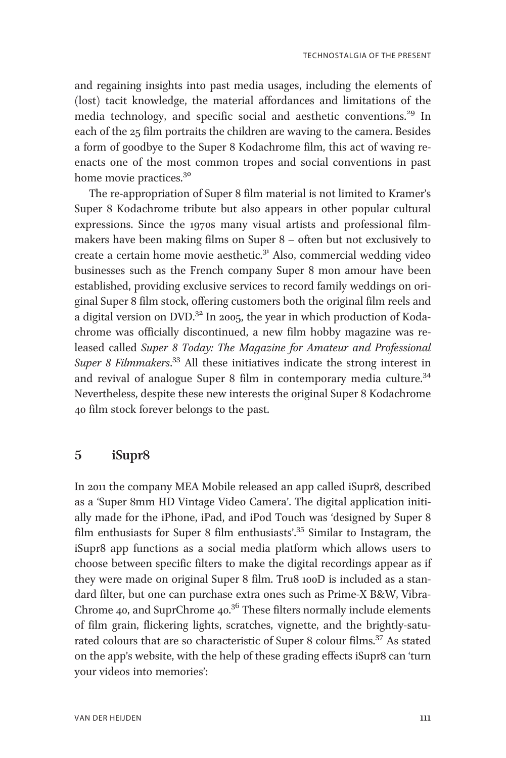and regaining insights into past media usages, including the elements of (lost) tacit knowledge, the material affordances and limitations of the media technology, and specific social and aesthetic conventions.<sup>29</sup> In each of the 25 film portraits the children are waving to the camera. Besides a form of goodbye to the Super 8 Kodachrome film, this act of waving reenacts one of the most common tropes and social conventions in past home movie practices.<sup>30</sup>

The re-appropriation of Super 8 film material is not limited to Kramer's Super 8 Kodachrome tribute but also appears in other popular cultural expressions. Since the 1970s many visual artists and professional filmmakers have been making films on Super 8 – often but not exclusively to create a certain home movie aesthetic. $3<sup>1</sup>$  Also, commercial wedding video businesses such as the French company Super 8 mon amour have been established, providing exclusive services to record family weddings on original Super 8 film stock, offering customers both the original film reels and a digital version on DVD. $32$  In 2005, the year in which production of Kodachrome was officially discontinued, a new film hobby magazine was released called Super 8 Today: The Magazine for Amateur and Professional Super 8 Filmmakers.<sup>33</sup> All these initiatives indicate the strong interest in and revival of analogue Super 8 film in contemporary media culture.<sup>34</sup> Nevertheless, despite these new interests the original Super 8 Kodachrome 40 film stock forever belongs to the past.

# 5 iSupr8

In 2011 the company MEA Mobile released an app called iSupr8, described as a 'Super 8mm HD Vintage Video Camera'. The digital application initially made for the iPhone, iPad, and iPod Touch was 'designed by Super 8 film enthusiasts for Super 8 film enthusiasts'.<sup>35</sup> Similar to Instagram, the iSupr8 app functions as a social media platform which allows users to choose between specific filters to make the digital recordings appear as if they were made on original Super 8 film. Tru8 100D is included as a standard filter, but one can purchase extra ones such as Prime-X B&W, Vibra-Chrome 40, and SuprChrome  $40.36$  These filters normally include elements of film grain, flickering lights, scratches, vignette, and the brightly-saturated colours that are so characteristic of Super 8 colour films.<sup>37</sup> As stated on the app's website, with the help of these grading effects iSupr8 can 'turn your videos into memories':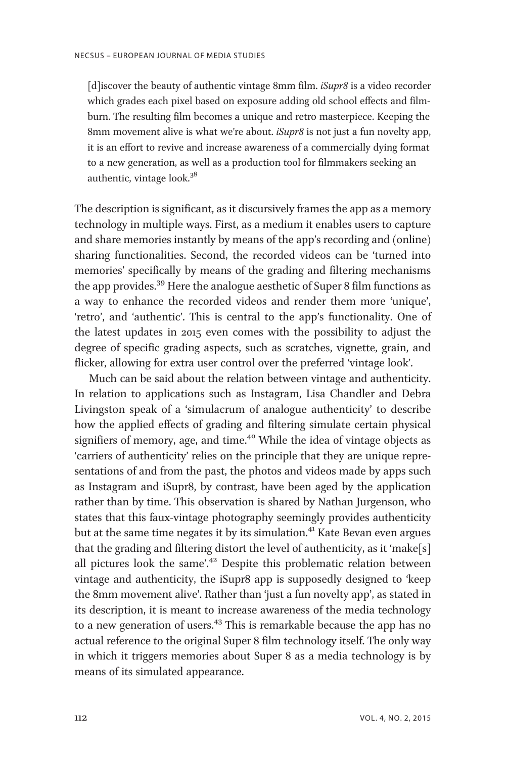[d] iscover the beauty of authentic vintage 8mm film. *iSupr8* is a video recorder which grades each pixel based on exposure adding old school effects and filmburn. The resulting film becomes a unique and retro masterpiece. Keeping the 8mm movement alive is what we're about. *iSupr8* is not just a fun novelty app, it is an effort to revive and increase awareness of a commercially dying format to a new generation, as well as a production tool for filmmakers seeking an authentic, vintage look.<sup>38</sup>

The description is significant, as it discursively frames the app as a memory technology in multiple ways. First, as a medium it enables users to capture and share memories instantly by means of the app's recording and (online) sharing functionalities. Second, the recorded videos can be 'turned into memories' specifically by means of the grading and filtering mechanisms the app provides.<sup>39</sup> Here the analogue aesthetic of Super 8 film functions as a way to enhance the recorded videos and render them more 'unique', 'retro', and 'authentic'. This is central to the app's functionality. One of the latest updates in 2015 even comes with the possibility to adjust the degree of specific grading aspects, such as scratches, vignette, grain, and flicker, allowing for extra user control over the preferred 'vintage look'.

Much can be said about the relation between vintage and authenticity. In relation to applications such as Instagram, Lisa Chandler and Debra Livingston speak of a 'simulacrum of analogue authenticity' to describe how the applied effects of grading and filtering simulate certain physical signifiers of memory, age, and time.<sup>40</sup> While the idea of vintage objects as 'carriers of authenticity' relies on the principle that they are unique representations of and from the past, the photos and videos made by apps such as Instagram and iSupr8, by contrast, have been aged by the application rather than by time. This observation is shared by Nathan Jurgenson, who states that this faux-vintage photography seemingly provides authenticity but at the same time negates it by its simulation.<sup>41</sup> Kate Bevan even argues that the grading and filtering distort the level of authenticity, as it 'make[s] all pictures look the same'.<sup>42</sup> Despite this problematic relation between vintage and authenticity, the iSupr8 app is supposedly designed to 'keep the 8mm movement alive'. Rather than 'just a fun novelty app', as stated in its description, it is meant to increase awareness of the media technology to a new generation of users.<sup>43</sup> This is remarkable because the app has no actual reference to the original Super 8 film technology itself. The only way in which it triggers memories about Super 8 as a media technology is by means of its simulated appearance.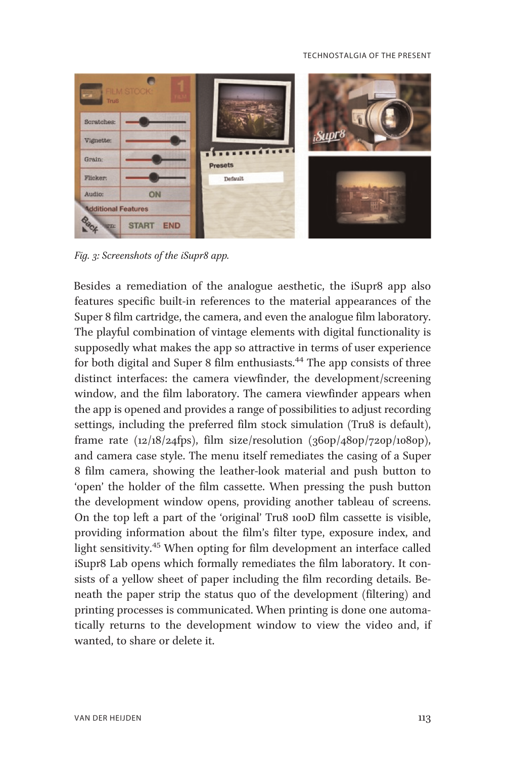

Fig. 3: Screenshots of the iSupr8 app.

Besides a remediation of the analogue aesthetic, the iSupr8 app also features specific built-in references to the material appearances of the Super 8 film cartridge, the camera, and even the analogue film laboratory. The playful combination of vintage elements with digital functionality is supposedly what makes the app so attractive in terms of user experience for both digital and Super 8 film enthusiasts.<sup>44</sup> The app consists of three distinct interfaces: the camera viewfinder, the development/screening window, and the film laboratory. The camera viewfinder appears when the app is opened and provides a range of possibilities to adjust recording settings, including the preferred film stock simulation (Tru8 is default), frame rate  $(12/18/24$ fps), film size/resolution  $(360p/480p/720p/1080p)$ , and camera case style. The menu itself remediates the casing of a Super 8 film camera, showing the leather-look material and push button to 'open' the holder of the film cassette. When pressing the push button the development window opens, providing another tableau of screens. On the top left a part of the 'original' Tru8 100D film cassette is visible, providing information about the film's filter type, exposure index, and light sensitivity.<sup>45</sup> When opting for film development an interface called iSupr8 Lab opens which formally remediates the film laboratory. It consists of a yellow sheet of paper including the film recording details. Beneath the paper strip the status quo of the development (filtering) and printing processes is communicated. When printing is done one automatically returns to the development window to view the video and, if wanted, to share or delete it.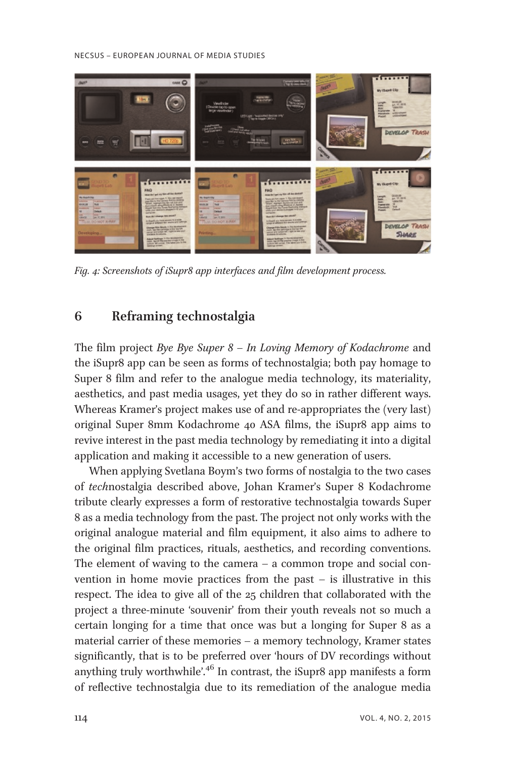#### NECSUS – EUROPEAN JOURNAL OF MEDIA STUDIES



Fig. 4: Screenshots of iSupr8 app interfaces and film development process.

# 6 Reframing technostalgia

The film project Bye Bye Super  $8 - In$  Loving Memory of Kodachrome and the iSupr8 app can be seen as forms of technostalgia; both pay homage to Super 8 film and refer to the analogue media technology, its materiality, aesthetics, and past media usages, yet they do so in rather different ways. Whereas Kramer's project makes use of and re-appropriates the (very last) original Super 8mm Kodachrome 40 ASA films, the iSupr8 app aims to revive interest in the past media technology by remediating it into a digital application and making it accessible to a new generation of users.

When applying Svetlana Boym's two forms of nostalgia to the two cases of technostalgia described above, Johan Kramer's Super 8 Kodachrome tribute clearly expresses a form of restorative technostalgia towards Super 8 as a media technology from the past. The project not only works with the original analogue material and film equipment, it also aims to adhere to the original film practices, rituals, aesthetics, and recording conventions. The element of waving to the camera – a common trope and social convention in home movie practices from the past – is illustrative in this respect. The idea to give all of the 25 children that collaborated with the project a three-minute 'souvenir' from their youth reveals not so much a certain longing for a time that once was but a longing for Super 8 as a material carrier of these memories – a memory technology, Kramer states significantly, that is to be preferred over 'hours of DV recordings without anything truly worthwhile'.<sup>46</sup> In contrast, the iSupr8 app manifests a form of reflective technostalgia due to its remediation of the analogue media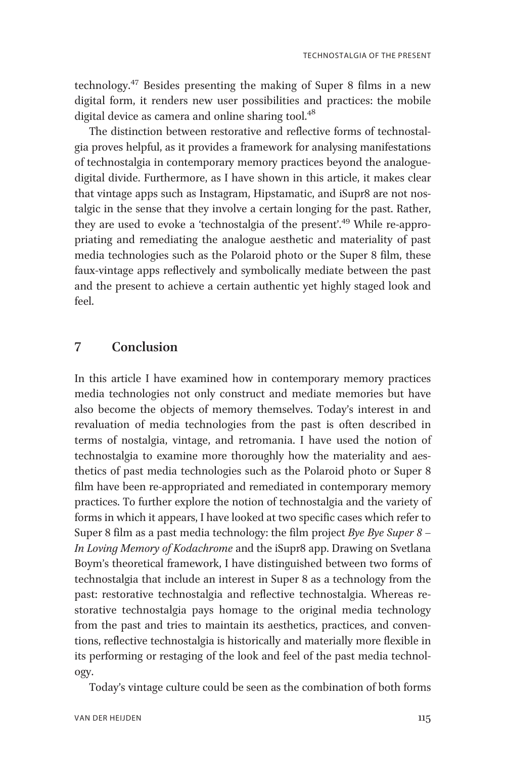technology.<sup>47</sup> Besides presenting the making of Super 8 films in a new digital form, it renders new user possibilities and practices: the mobile digital device as camera and online sharing tool.<sup>48</sup>

The distinction between restorative and reflective forms of technostalgia proves helpful, as it provides a framework for analysing manifestations of technostalgia in contemporary memory practices beyond the analoguedigital divide. Furthermore, as I have shown in this article, it makes clear that vintage apps such as Instagram, Hipstamatic, and iSupr8 are not nostalgic in the sense that they involve a certain longing for the past. Rather, they are used to evoke a 'technostalgia of the present'.<sup>49</sup> While re-appropriating and remediating the analogue aesthetic and materiality of past media technologies such as the Polaroid photo or the Super 8 film, these faux-vintage apps reflectively and symbolically mediate between the past and the present to achieve a certain authentic yet highly staged look and feel.

# 7 Conclusion

In this article I have examined how in contemporary memory practices media technologies not only construct and mediate memories but have also become the objects of memory themselves. Today's interest in and revaluation of media technologies from the past is often described in terms of nostalgia, vintage, and retromania. I have used the notion of technostalgia to examine more thoroughly how the materiality and aesthetics of past media technologies such as the Polaroid photo or Super 8 film have been re-appropriated and remediated in contemporary memory practices. To further explore the notion of technostalgia and the variety of forms in which it appears, I have looked at two specific cases which refer to Super 8 film as a past media technology: the film project Bye Bye Super  $8 -$ In Loving Memory of Kodachrome and the iSupr8 app. Drawing on Svetlana Boym's theoretical framework, I have distinguished between two forms of technostalgia that include an interest in Super 8 as a technology from the past: restorative technostalgia and reflective technostalgia. Whereas restorative technostalgia pays homage to the original media technology from the past and tries to maintain its aesthetics, practices, and conventions, reflective technostalgia is historically and materially more flexible in its performing or restaging of the look and feel of the past media technology.

Today's vintage culture could be seen as the combination of both forms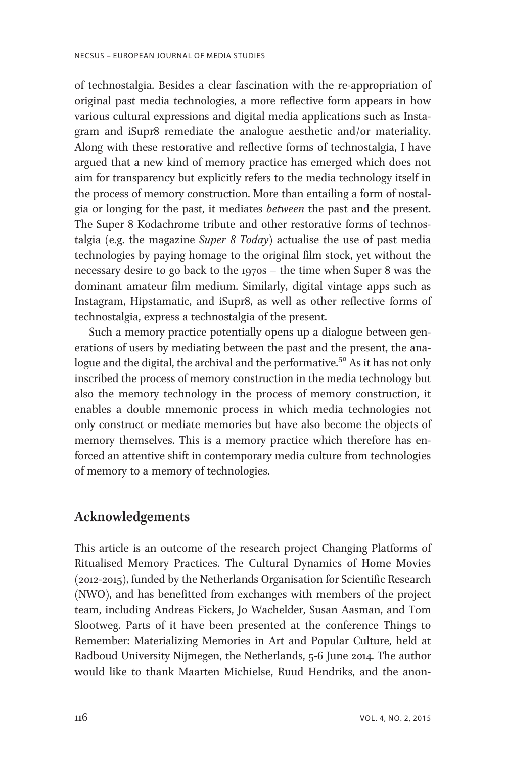of technostalgia. Besides a clear fascination with the re-appropriation of original past media technologies, a more reflective form appears in how various cultural expressions and digital media applications such as Instagram and iSupr8 remediate the analogue aesthetic and/or materiality. Along with these restorative and reflective forms of technostalgia, I have argued that a new kind of memory practice has emerged which does not aim for transparency but explicitly refers to the media technology itself in the process of memory construction. More than entailing a form of nostalgia or longing for the past, it mediates *between* the past and the present. The Super 8 Kodachrome tribute and other restorative forms of technostalgia (e.g. the magazine Super 8 Today) actualise the use of past media technologies by paying homage to the original film stock, yet without the necessary desire to go back to the 1970s – the time when Super 8 was the dominant amateur film medium. Similarly, digital vintage apps such as Instagram, Hipstamatic, and iSupr8, as well as other reflective forms of technostalgia, express a technostalgia of the present.

Such a memory practice potentially opens up a dialogue between generations of users by mediating between the past and the present, the analogue and the digital, the archival and the performative.<sup>50</sup> As it has not only inscribed the process of memory construction in the media technology but also the memory technology in the process of memory construction, it enables a double mnemonic process in which media technologies not only construct or mediate memories but have also become the objects of memory themselves. This is a memory practice which therefore has enforced an attentive shift in contemporary media culture from technologies of memory to a memory of technologies.

# Acknowledgements

This article is an outcome of the research project Changing Platforms of Ritualised Memory Practices. The Cultural Dynamics of Home Movies (2012-2015), funded by the Netherlands Organisation for Scientific Research (NWO), and has benefitted from exchanges with members of the project team, including Andreas Fickers, Jo Wachelder, Susan Aasman, and Tom Slootweg. Parts of it have been presented at the conference Things to Remember: Materializing Memories in Art and Popular Culture, held at Radboud University Nijmegen, the Netherlands, 5-6 June 2014. The author would like to thank Maarten Michielse, Ruud Hendriks, and the anon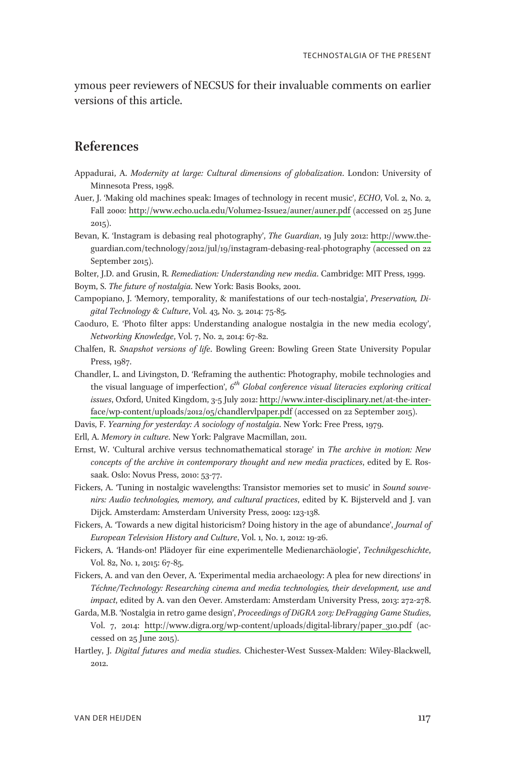ymous peer reviewers of NECSUS for their invaluable comments on earlier versions of this article.

# References

- Appadurai, A. Modernity at large: Cultural dimensions of globalization. London: University of Minnesota Press, 1998.
- Auer, J. 'Making old machines speak: Images of technology in recent music', ECHO, Vol. 2, No. 2, Fall 2000:<http://www.echo.ucla.edu/Volume2-Issue2/auner/auner.pdf> (accessed on 25 June 2015).
- Bevan, K. 'Instagram is debasing real photography', The Guardian, 19 July 2012: [http://www.the](http://www.the-)guardian.com/technology/2012/jul/19/instagram-debasing-real-photography (accessed on 22 September 2015).
- Bolter, J.D. and Grusin, R. Remediation: Understanding new media. Cambridge: MIT Press, 1999.
- Boym, S. The future of nostalgia. New York: Basis Books, 2001.
- Campopiano, J. 'Memory, temporality, & manifestations of our tech-nostalgia', Preservation, Digital Technology & Culture, Vol. 43, No. 3, 2014: 75-85.
- Caoduro, E. 'Photo filter apps: Understanding analogue nostalgia in the new media ecology', Networking Knowledge, Vol. 7, No. 2, 2014: 67-82.
- Chalfen, R. Snapshot versions of life. Bowling Green: Bowling Green State University Popular Press, 1987.
- Chandler, L. and Livingston, D. 'Reframing the authentic: Photography, mobile technologies and the visual language of imperfection',  $6<sup>th</sup>$  Global conference visual literacies exploring critical issues, Oxford, United Kingdom, 3-5 July 2012: [http://www.inter-disciplinary.net/at-the-inter](http://www.inter-disciplinary.net/at-the-inter-face/wp-content/uploads/2012/05/chandlervlpaper.pdf)[face/wp-content/uploads/2012/05/chandlervlpaper.pdf](http://www.inter-disciplinary.net/at-the-inter-face/wp-content/uploads/2012/05/chandlervlpaper.pdf) (accessed on 22 September 2015).
- Davis, F. Yearning for yesterday: A sociology of nostalgia. New York: Free Press, 1979.
- Erll, A. Memory in culture. New York: Palgrave Macmillan, 2011.
- Ernst, W. 'Cultural archive versus technomathematical storage' in The archive in motion: New concepts of the archive in contemporary thought and new media practices, edited by E. Rossaak. Oslo: Novus Press, 2010: 53-77.
- Fickers, A. 'Tuning in nostalgic wavelengths: Transistor memories set to music' in Sound souvenirs: Audio technologies, memory, and cultural practices, edited by K. Bijsterveld and J. van Dijck. Amsterdam: Amsterdam University Press, 2009: 123-138.
- Fickers, A. 'Towards a new digital historicism? Doing history in the age of abundance', Journal of European Television History and Culture, Vol. 1, No. 1, 2012: 19-26.
- Fickers, A. 'Hands-on! Plädoyer für eine experimentelle Medienarchäologie', Technikgeschichte, Vol. 82, No. 1, 2015: 67-85.
- Fickers, A. and van den Oever, A. 'Experimental media archaeology: A plea for new directions' in Téchne/Technology: Researching cinema and media technologies, their development, use and impact, edited by A. van den Oever. Amsterdam: Amsterdam University Press, 2013: 272-278.
- Garda, M.B. 'Nostalgia in retro game design', Proceedings of DiGRA 2013: DeFragging Game Studies, Vol. 7, 2014: [http://www.digra.org/wp-content/uploads/digital-library/paper\\_310.pdf](http://www.digra.org/wp-content/uploads/digital-library/paper_310.pdf) (accessed on 25 June 2015).
- Hartley, J. Digital futures and media studies. Chichester-West Sussex-Malden: Wiley-Blackwell, 2012.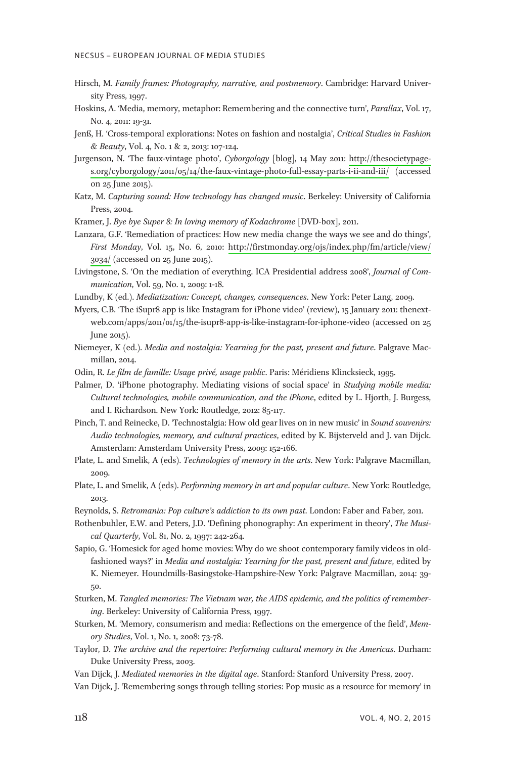- Hirsch, M. Family frames: Photography, narrative, and postmemory. Cambridge: Harvard University Press, 1997.
- Hoskins, A. 'Media, memory, metaphor: Remembering and the connective turn', Parallax, Vol. 17, No. 4, 2011: 19-31.
- Jenß, H. 'Cross-temporal explorations: Notes on fashion and nostalgia', Critical Studies in Fashion & Beauty, Vol. 4, No. 1 & 2, 2013: 107-124.
- Jurgenson, N. 'The faux-vintage photo', Cyborgology [blog], 14 May 2011: [http://thesocietypage](http://thesocietypage-s.org/cyborgology/2011/05/14/the-faux-vintage-photo-full-essay-parts-i-ii-and-iii/)[s.org/cyborgology/2011/05/14/the-faux-vintage-photo-full-essay-parts-i-ii-and-iii/](http://thesocietypage-s.org/cyborgology/2011/05/14/the-faux-vintage-photo-full-essay-parts-i-ii-and-iii/) (accessed on 25 June 2015).
- Katz, M. Capturing sound: How technology has changed music. Berkeley: University of California Press, 2004.
- Kramer, J. Bye bye Super 8: In loving memory of Kodachrome [DVD-box], 2011.
- Lanzara, G.F. 'Remediation of practices: How new media change the ways we see and do things', First Monday, Vol. 15, No. 6, 2010: [http://firstmonday.org/ojs/index.php/fm/article/view/](http://firstmonday.org/ojs/index.php/fm/article/view/3034/) [3034/](http://firstmonday.org/ojs/index.php/fm/article/view/3034/) (accessed on 25 June 2015).
- Livingstone, S. 'On the mediation of everything. ICA Presidential address 2008', Journal of Communication, Vol. 59, No. 1, 2009: 1-18.
- Lundby, K (ed.). *Mediatization: Concept, changes, consequences*. New York: Peter Lang, 2009.
- Myers, C.B. 'The iSupr8 app is like Instagram for iPhone video' (review), 15 January 2011: thenextweb.com/apps/2011/01/15/the-isupr8-app-is-like-instagram-for-iphone-video (accessed on 25 June 2015).
- Niemeyer, K (ed.). Media and nostalgia: Yearning for the past, present and future. Palgrave Macmillan, 2014.
- Odin, R. Le film de famille: Usage privé, usage public. Paris: Méridiens Klincksieck, 1995.
- Palmer, D. 'iPhone photography. Mediating visions of social space' in Studying mobile media: Cultural technologies, mobile communication, and the iPhone, edited by L. Hjorth, J. Burgess, and I. Richardson. New York: Routledge, 2012: 85-117.
- Pinch, T. and Reinecke, D. 'Technostalgia: How old gear lives on in new music' in Sound souvenirs: Audio technologies, memory, and cultural practices, edited by K. Bijsterveld and J. van Dijck. Amsterdam: Amsterdam University Press, 2009: 152-166.
- Plate, L. and Smelik, A (eds). Technologies of memory in the arts. New York: Palgrave Macmillan, 2009.
- Plate, L. and Smelik, A (eds). Performing memory in art and popular culture. New York: Routledge, 2013.
- Reynolds, S. Retromania: Pop culture's addiction to its own past. London: Faber and Faber, 2011.
- Rothenbuhler, E.W. and Peters, J.D. 'Defining phonography: An experiment in theory', The Musical Quarterly, Vol. 81, No. 2, 1997: 242-264.
- Sapio, G. 'Homesick for aged home movies: Why do we shoot contemporary family videos in oldfashioned ways?' in Media and nostalgia: Yearning for the past, present and future, edited by K. Niemeyer. Houndmills-Basingstoke-Hampshire-New York: Palgrave Macmillan, 2014: 39- 50.
- Sturken, M. Tangled memories: The Vietnam war, the AIDS epidemic, and the politics of remembering. Berkeley: University of California Press, 1997.
- Sturken, M. 'Memory, consumerism and media: Reflections on the emergence of the field', Memory Studies, Vol. 1, No. 1, 2008: 73-78.
- Taylor, D. The archive and the repertoire: Performing cultural memory in the Americas. Durham: Duke University Press, 2003.
- Van Dijck, J. Mediated memories in the digital age. Stanford: Stanford University Press, 2007.
- Van Dijck, J. 'Remembering songs through telling stories: Pop music as a resource for memory' in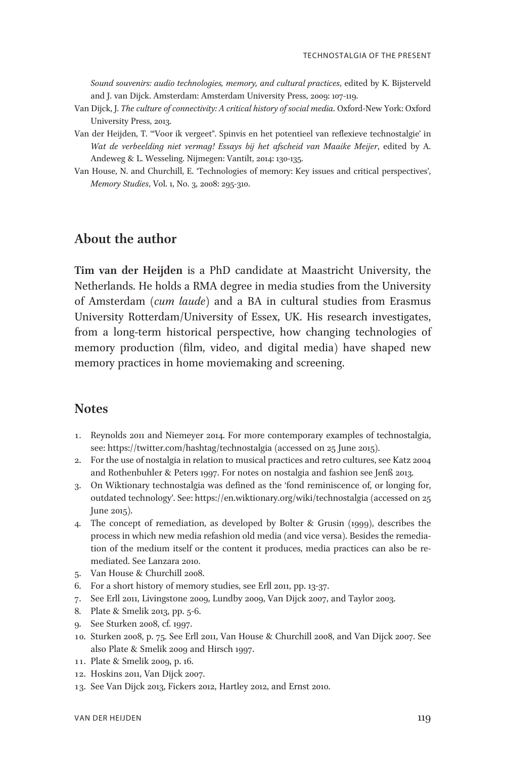Sound souvenirs: audio technologies, memory, and cultural practices, edited by K. Bijsterveld and J. van Dijck. Amsterdam: Amsterdam University Press, 2009: 107-119.

- Van Dijck, J. The culture of connectivity: A critical history of social media. Oxford-New York: Oxford University Press, 2013.
- Van der Heijden, T. '"Voor ik vergeet". Spinvis en het potentieel van reflexieve technostalgie' in Wat de verbeelding niet vermag! Essays bij het afscheid van Maaike Meijer, edited by A. Andeweg & L. Wesseling. Nijmegen: Vantilt, 2014: 130-135.
- Van House, N. and Churchill, E. 'Technologies of memory: Key issues and critical perspectives', Memory Studies, Vol. 1, No. 3, 2008: 295-310.

# About the author

Tim van der Heijden is a PhD candidate at Maastricht University, the Netherlands. He holds a RMA degree in media studies from the University of Amsterdam (cum laude) and a BA in cultural studies from Erasmus University Rotterdam/University of Essex, UK. His research investigates, from a long-term historical perspective, how changing technologies of memory production (film, video, and digital media) have shaped new memory practices in home moviemaking and screening.

# **Notes**

- 1. Reynolds 2011 and Niemeyer 2014. For more contemporary examples of technostalgia, see: https://twitter.com/hashtag/technostalgia (accessed on 25 June 2015).
- 2. For the use of nostalgia in relation to musical practices and retro cultures, see Katz 2004 and Rothenbuhler & Peters 1997. For notes on nostalgia and fashion see Jenß 2013.
- 3. On Wiktionary technostalgia was defined as the 'fond reminiscence of, or longing for, outdated technology'. See: https://en.wiktionary.org/wiki/technostalgia (accessed on 25 June 2015).
- 4. The concept of remediation, as developed by Bolter & Grusin (1999), describes the process in which new media refashion old media (and vice versa). Besides the remediation of the medium itself or the content it produces, media practices can also be remediated. See Lanzara 2010.
- 5. Van House & Churchill 2008.
- 6. For a short history of memory studies, see Erll 2011, pp. 13-37.
- 7. See Erll 2011, Livingstone 2009, Lundby 2009, Van Dijck 2007, and Taylor 2003.
- 8. Plate & Smelik 2013, pp. 5-6.
- 9. See Sturken 2008, cf. 1997.
- 10. Sturken 2008, p. 75. See Erll 2011, Van House & Churchill 2008, and Van Dijck 2007. See also Plate & Smelik 2009 and Hirsch 1997.
- 1 1. Plate & Smelik 2009, p. 16.
- 12. Hoskins 2011, Van Dijck 2007.
- 13. See Van Dijck 2013, Fickers 2012, Hartley 2012, and Ernst 2010.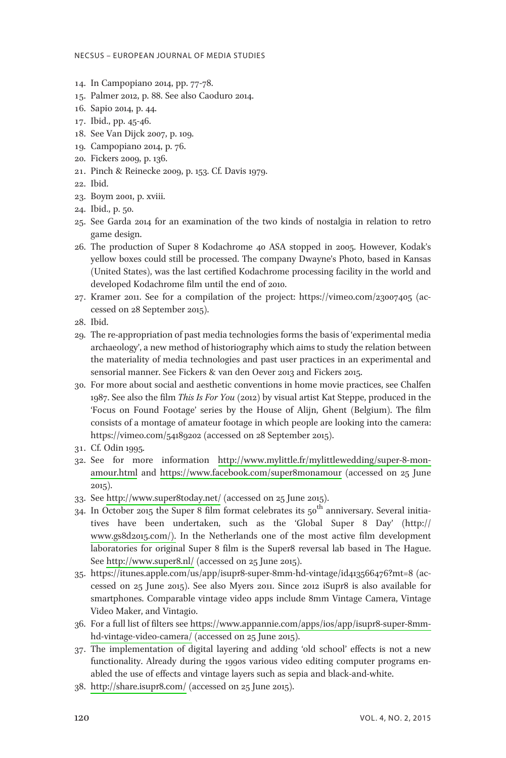- 14. In Campopiano 2014, pp. 77-78.
- 15. Palmer 2012, p. 88. See also Caoduro 2014.
- 16. Sapio 2014, p. 44.
- 17. Ibid., pp. 45-46.
- 18. See Van Dijck 2007, p. 109.
- 19. Campopiano 2014, p. 76.
- 20. Fickers 2009, p. 136.
- 21. Pinch & Reinecke 2009, p. 153. Cf. Davis 1979.
- 22. Ibid.
- 23. Boym 2001, p. xviii.
- 24. Ibid., p. 50.
- 25. See Garda 2014 for an examination of the two kinds of nostalgia in relation to retro game design.
- 26. The production of Super 8 Kodachrome 40 ASA stopped in 2005. However, Kodak's yellow boxes could still be processed. The company Dwayne's Photo, based in Kansas (United States), was the last certified Kodachrome processing facility in the world and developed Kodachrome film until the end of 2010.
- 27. Kramer 2011. See for a compilation of the project: https://vimeo.com/23007405 (accessed on 28 September 2015).
- 28. Ibid.
- 29. The re-appropriation of past media technologies forms the basis of 'experimental media archaeology', a new method of historiography which aims to study the relation between the materiality of media technologies and past user practices in an experimental and sensorial manner. See Fickers & van den Oever 2013 and Fickers 2015.
- 30. For more about social and aesthetic conventions in home movie practices, see Chalfen 1987. See also the film This Is For You (2012) by visual artist Kat Steppe, produced in the 'Focus on Found Footage' series by the House of Alijn, Ghent (Belgium). The film consists of a montage of amateur footage in which people are looking into the camera: https://vimeo.com/54189202 (accessed on 28 September 2015).
- 31. Cf. Odin 1995.
- 32. See for more information [http://www.mylittle.fr/mylittlewedding/super-8-mon](http://www.mylittle.fr/mylittlewedding/super-8-mon-amour.html)[amour.html](http://www.mylittle.fr/mylittlewedding/super-8-mon-amour.html) and [https://www.facebook.com/super8monamour](http://www.facebook.com/super8monamour) (accessed on 25 June 2015).
- 33. See<http://www.super8today.net/> (accessed on 25 June 2015).
- $\frac{1}{34}$ . In October 2015 the Super 8 film format celebrates its  $50^{\text{th}}$  anniversary. Several initiatives have been undertaken, such as the 'Global Super 8 Day' (http:// [www.gs8d2015.com/\).](http://www.gs8d2015.com/) In the Netherlands one of the most active film development laboratories for original Super 8 film is the Super8 reversal lab based in The Hague. See<http://www.super8.nl/> (accessed on 25 June 2015).
- 35. https://itunes.apple.com/us/app/isupr8-super-8mm-hd-vintage/id413566476?mt=8 (accessed on 25 June 2015). See also Myers 2011. Since 2012 iSupr8 is also available for smartphones. Comparable vintage video apps include 8mm Vintage Camera, Vintage Video Maker, and Vintagio.
- 36. For a full list of filters see [https://www.appannie.com/apps/ios/app/isupr8-super-8mm](http://www.appannie.com/apps/ios/app/isupr8-super-8mm-hd-vintage-video-camera/)[hd-vintage-video-camera/](http://www.appannie.com/apps/ios/app/isupr8-super-8mm-hd-vintage-video-camera/) (accessed on 25 June 2015).
- 37. The implementation of digital layering and adding 'old school' effects is not a new functionality. Already during the 1990s various video editing computer programs enabled the use of effects and vintage layers such as sepia and black-and-white.
- 38.<http://share.isupr8.com/> (accessed on 25 June 2015).